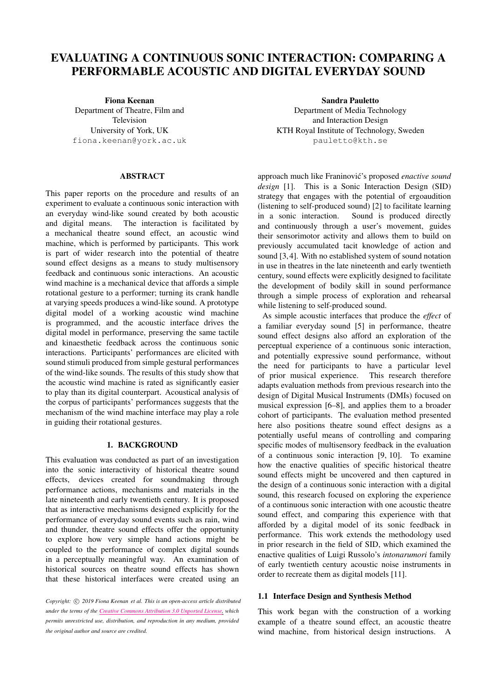# EVALUATING A CONTINUOUS SONIC INTERACTION: COMPARING A PERFORMABLE ACOUSTIC AND DIGITAL EVERYDAY SOUND

Fiona Keenan Department of Theatre, Film and Television University of York, UK [fiona.keenan@york.ac.uk](mailto:fiona.keenan@york.ac.uk)

## ABSTRACT

This paper reports on the procedure and results of an experiment to evaluate a continuous sonic interaction with an everyday wind-like sound created by both acoustic and digital means. The interaction is facilitated by a mechanical theatre sound effect, an acoustic wind machine, which is performed by participants. This work is part of wider research into the potential of theatre sound effect designs as a means to study multisensory feedback and continuous sonic interactions. An acoustic wind machine is a mechanical device that affords a simple rotational gesture to a performer; turning its crank handle at varying speeds produces a wind-like sound. A prototype digital model of a working acoustic wind machine is programmed, and the acoustic interface drives the digital model in performance, preserving the same tactile and kinaesthetic feedback across the continuous sonic interactions. Participants' performances are elicited with sound stimuli produced from simple gestural performances of the wind-like sounds. The results of this study show that the acoustic wind machine is rated as significantly easier to play than its digital counterpart. Acoustical analysis of the corpus of participants' performances suggests that the mechanism of the wind machine interface may play a role in guiding their rotational gestures.

# 1. BACKGROUND

This evaluation was conducted as part of an investigation into the sonic interactivity of historical theatre sound effects, devices created for soundmaking through performance actions, mechanisms and materials in the late nineteenth and early twentieth century. It is proposed that as interactive mechanisms designed explicitly for the performance of everyday sound events such as rain, wind and thunder, theatre sound effects offer the opportunity to explore how very simple hand actions might be coupled to the performance of complex digital sounds in a perceptually meaningful way. An examination of historical sources on theatre sound effects has shown that these historical interfaces were created using an

*Copyright:*  $\circ$  *2019 Fiona Keenan et al. This is an open-access article distributed under the terms of the Creative Commons [Attribution](http://creativecommons.org/licenses/by/3.0/) 3.0 Unported License, which permits unrestricted use, distribution, and reproduction in any medium, provided the original author and source are credited.*

Sandra Pauletto Department of Media Technology and Interaction Design KTH Royal Institute of Technology, Sweden [pauletto@kth.se](mailto:pauletto@kth.se)

approach much like Franinović's proposed *enactive sound design* [\[1\]](#page-6-0). This is a Sonic Interaction Design (SID) strategy that engages with the potential of ergoaudition (listening to self-produced sound) [\[2\]](#page-6-1) to facilitate learning in a sonic interaction. Sound is produced directly and continuously through a user's movement, guides their sensorimotor activity and allows them to build on previously accumulated tacit knowledge of action and sound [\[3,](#page-6-2) [4\]](#page-6-3). With no established system of sound notation in use in theatres in the late nineteenth and early twentieth century, sound effects were explicitly designed to facilitate the development of bodily skill in sound performance through a simple process of exploration and rehearsal while listening to self-produced sound.

As simple acoustic interfaces that produce the *effect* of a familiar everyday sound [\[5\]](#page-6-4) in performance, theatre sound effect designs also afford an exploration of the perceptual experience of a continuous sonic interaction, and potentially expressive sound performance, without the need for participants to have a particular level of prior musical experience. This research therefore adapts evaluation methods from previous research into the design of Digital Musical Instruments (DMIs) focused on musical expression [\[6](#page-6-5)[–8\]](#page-6-6), and applies them to a broader cohort of participants. The evaluation method presented here also positions theatre sound effect designs as a potentially useful means of controlling and comparing specific modes of multisensory feedback in the evaluation of a continuous sonic interaction [\[9,](#page-6-7) [10\]](#page-6-8). To examine how the enactive qualities of specific historical theatre sound effects might be uncovered and then captured in the design of a continuous sonic interaction with a digital sound, this research focused on exploring the experience of a continuous sonic interaction with one acoustic theatre sound effect, and comparing this experience with that afforded by a digital model of its sonic feedback in performance. This work extends the methodology used in prior research in the field of SID, which examined the enactive qualities of Luigi Russolo's *intonarumori* family of early twentieth century acoustic noise instruments in order to recreate them as digital models [\[11\]](#page-6-9).

#### 1.1 Interface Design and Synthesis Method

This work began with the construction of a working example of a theatre sound effect, an acoustic theatre wind machine, from historical design instructions. A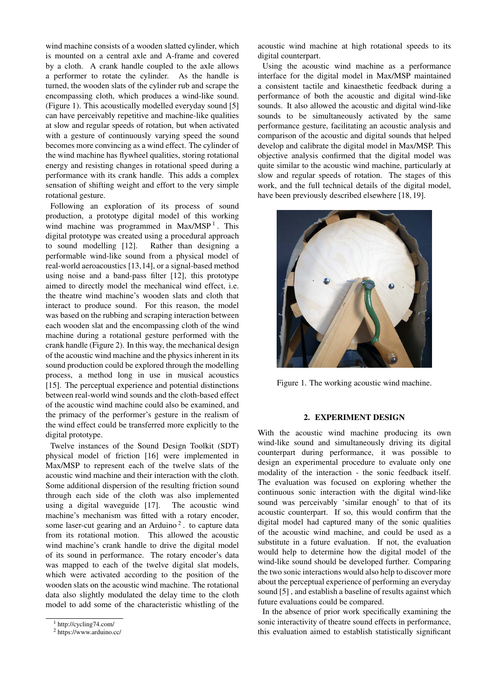wind machine consists of a wooden slatted cylinder, which is mounted on a central axle and A-frame and covered by a cloth. A crank handle coupled to the axle allows a performer to rotate the cylinder. As the handle is turned, the wooden slats of the cylinder rub and scrape the encompassing cloth, which produces a wind-like sound. (Figure [1\)](#page-1-0). This acoustically modelled everyday sound [\[5\]](#page-6-4) can have perceivably repetitive and machine-like qualities at slow and regular speeds of rotation, but when activated with a gesture of continuously varying speed the sound becomes more convincing as a wind effect. The cylinder of the wind machine has flywheel qualities, storing rotational energy and resisting changes in rotational speed during a performance with its crank handle. This adds a complex sensation of shifting weight and effort to the very simple rotational gesture.

Following an exploration of its process of sound production, a prototype digital model of this working wind machine was programmed in  $Max/MSP<sup>1</sup>$  $Max/MSP<sup>1</sup>$  $Max/MSP<sup>1</sup>$ . This digital prototype was created using a procedural approach to sound modelling [\[12\]](#page-6-10). Rather than designing a performable wind-like sound from a physical model of real-world aeroacoustics [\[13,](#page-6-11)[14\]](#page-6-12), or a signal-based method using noise and a band-pass filter [\[12\]](#page-6-10), this prototype aimed to directly model the mechanical wind effect, i.e. the theatre wind machine's wooden slats and cloth that interact to produce sound. For this reason, the model was based on the rubbing and scraping interaction between each wooden slat and the encompassing cloth of the wind machine during a rotational gesture performed with the crank handle (Figure [2\)](#page-2-0). In this way, the mechanical design of the acoustic wind machine and the physics inherent in its sound production could be explored through the modelling process, a method long in use in musical acoustics [\[15\]](#page-7-0). The perceptual experience and potential distinctions between real-world wind sounds and the cloth-based effect of the acoustic wind machine could also be examined, and the primacy of the performer's gesture in the realism of the wind effect could be transferred more explicitly to the digital prototype.

Twelve instances of the Sound Design Toolkit (SDT) physical model of friction [\[16\]](#page-7-1) were implemented in Max/MSP to represent each of the twelve slats of the acoustic wind machine and their interaction with the cloth. Some additional dispersion of the resulting friction sound through each side of the cloth was also implemented using a digital waveguide [\[17\]](#page-7-2). The acoustic wind machine's mechanism was fitted with a rotary encoder, some laser-cut gearing and an Arduino<sup>[2](#page-1-2)</sup>. to capture data from its rotational motion. This allowed the acoustic wind machine's crank handle to drive the digital model of its sound in performance. The rotary encoder's data was mapped to each of the twelve digital slat models, which were activated according to the position of the wooden slats on the acoustic wind machine. The rotational data also slightly modulated the delay time to the cloth model to add some of the characteristic whistling of the

acoustic wind machine at high rotational speeds to its digital counterpart.

Using the acoustic wind machine as a performance interface for the digital model in Max/MSP maintained a consistent tactile and kinaesthetic feedback during a performance of both the acoustic and digital wind-like sounds. It also allowed the acoustic and digital wind-like sounds to be simultaneously activated by the same performance gesture, facilitating an acoustic analysis and comparison of the acoustic and digital sounds that helped develop and calibrate the digital model in Max/MSP. This objective analysis confirmed that the digital model was quite similar to the acoustic wind machine, particularly at slow and regular speeds of rotation. The stages of this work, and the full technical details of the digital model, have been previously described elsewhere [\[18,](#page-7-3) [19\]](#page-7-4).

<span id="page-1-0"></span>

Figure 1. The working acoustic wind machine.

## 2. EXPERIMENT DESIGN

With the acoustic wind machine producing its own wind-like sound and simultaneously driving its digital counterpart during performance, it was possible to design an experimental procedure to evaluate only one modality of the interaction - the sonic feedback itself. The evaluation was focused on exploring whether the continuous sonic interaction with the digital wind-like sound was perceivably 'similar enough' to that of its acoustic counterpart. If so, this would confirm that the digital model had captured many of the sonic qualities of the acoustic wind machine, and could be used as a substitute in a future evaluation. If not, the evaluation would help to determine how the digital model of the wind-like sound should be developed further. Comparing the two sonic interactions would also help to discover more about the perceptual experience of performing an everyday sound [\[5\]](#page-6-4) , and establish a baseline of results against which future evaluations could be compared.

In the absence of prior work specifically examining the sonic interactivity of theatre sound effects in performance, this evaluation aimed to establish statistically significant

<span id="page-1-1"></span><sup>1</sup> <http://cycling74.com/>

<span id="page-1-2"></span><sup>2</sup> <https://www.arduino.cc/>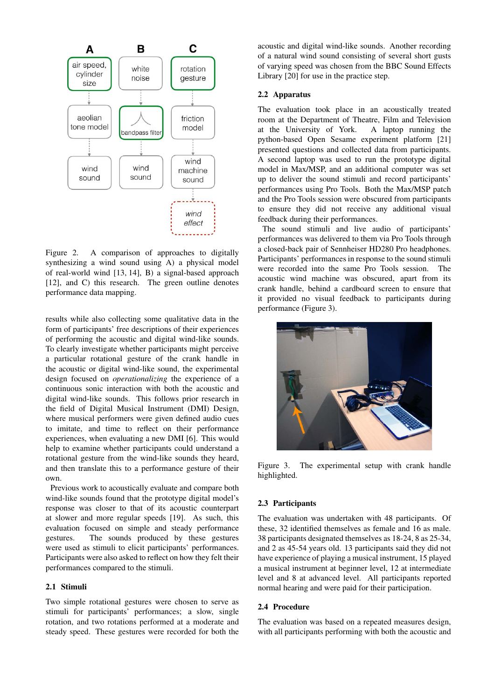<span id="page-2-0"></span>

Figure 2. A comparison of approaches to digitally synthesizing a wind sound using A) a physical model of real-world wind [\[13,](#page-6-11) [14\]](#page-6-12), B) a signal-based approach [\[12\]](#page-6-10), and C) this research. The green outline denotes performance data mapping.

results while also collecting some qualitative data in the form of participants' free descriptions of their experiences of performing the acoustic and digital wind-like sounds. To clearly investigate whether participants might perceive a particular rotational gesture of the crank handle in the acoustic or digital wind-like sound, the experimental design focused on *operationalizing* the experience of a continuous sonic interaction with both the acoustic and digital wind-like sounds. This follows prior research in the field of Digital Musical Instrument (DMI) Design, where musical performers were given defined audio cues to imitate, and time to reflect on their performance experiences, when evaluating a new DMI [\[6\]](#page-6-5). This would help to examine whether participants could understand a rotational gesture from the wind-like sounds they heard, and then translate this to a performance gesture of their own.

Previous work to acoustically evaluate and compare both wind-like sounds found that the prototype digital model's response was closer to that of its acoustic counterpart at slower and more regular speeds [\[19\]](#page-7-4). As such, this evaluation focused on simple and steady performance gestures. The sounds produced by these gestures were used as stimuli to elicit participants' performances. Participants were also asked to reflect on how they felt their performances compared to the stimuli.

# 2.1 Stimuli

Two simple rotational gestures were chosen to serve as stimuli for participants' performances; a slow, single rotation, and two rotations performed at a moderate and steady speed. These gestures were recorded for both the acoustic and digital wind-like sounds. Another recording of a natural wind sound consisting of several short gusts of varying speed was chosen from the BBC Sound Effects Library [\[20\]](#page-7-5) for use in the practice step.

## 2.2 Apparatus

The evaluation took place in an acoustically treated room at the Department of Theatre, Film and Television at the University of York. A laptop running the python-based Open Sesame experiment platform [\[21\]](#page-7-6) presented questions and collected data from participants. A second laptop was used to run the prototype digital model in Max/MSP, and an additional computer was set up to deliver the sound stimuli and record participants' performances using Pro Tools. Both the Max/MSP patch and the Pro Tools session were obscured from participants to ensure they did not receive any additional visual feedback during their performances.

The sound stimuli and live audio of participants' performances was delivered to them via Pro Tools through a closed-back pair of Sennheiser HD280 Pro headphones. Participants' performances in response to the sound stimuli were recorded into the same Pro Tools session. The acoustic wind machine was obscured, apart from its crank handle, behind a cardboard screen to ensure that it provided no visual feedback to participants during performance (Figure [3\)](#page-2-1).

<span id="page-2-1"></span>

Figure 3. The experimental setup with crank handle highlighted.

## 2.3 Participants

The evaluation was undertaken with 48 participants. Of these, 32 identified themselves as female and 16 as male. 38 participants designated themselves as 18-24, 8 as 25-34, and 2 as 45-54 years old. 13 participants said they did not have experience of playing a musical instrument, 15 played a musical instrument at beginner level, 12 at intermediate level and 8 at advanced level. All participants reported normal hearing and were paid for their participation.

# 2.4 Procedure

The evaluation was based on a repeated measures design, with all participants performing with both the acoustic and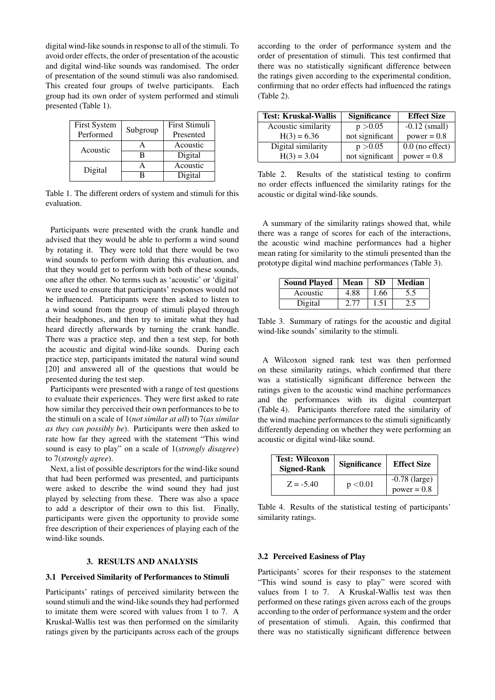digital wind-like sounds in response to all of the stimuli. To avoid order effects, the order of presentation of the acoustic and digital wind-like sounds was randomised. The order of presentation of the sound stimuli was also randomised. This created four groups of twelve participants. Each group had its own order of system performed and stimuli presented (Table [1\)](#page-3-0).

<span id="page-3-0"></span>

| <b>First System</b><br>Performed | Subgroup | First Stimuli<br>Presented |
|----------------------------------|----------|----------------------------|
| Acoustic                         |          | Acoustic                   |
|                                  |          | Digital                    |
| Digital                          |          | Acoustic                   |
|                                  |          | Digital                    |

Table 1. The different orders of system and stimuli for this evaluation.

Participants were presented with the crank handle and advised that they would be able to perform a wind sound by rotating it. They were told that there would be two wind sounds to perform with during this evaluation, and that they would get to perform with both of these sounds, one after the other. No terms such as 'acoustic' or 'digital' were used to ensure that participants' responses would not be influenced. Participants were then asked to listen to a wind sound from the group of stimuli played through their headphones, and then try to imitate what they had heard directly afterwards by turning the crank handle. There was a practice step, and then a test step, for both the acoustic and digital wind-like sounds. During each practice step, participants imitated the natural wind sound [\[20\]](#page-7-5) and answered all of the questions that would be presented during the test step.

Participants were presented with a range of test questions to evaluate their experiences. They were first asked to rate how similar they perceived their own performances to be to the stimuli on a scale of 1(*not similar at all*) to 7(*as similar as they can possibly be*). Participants were then asked to rate how far they agreed with the statement "This wind sound is easy to play" on a scale of 1(*strongly disagree*) to 7(*strongly agree*).

Next, a list of possible descriptors for the wind-like sound that had been performed was presented, and participants were asked to describe the wind sound they had just played by selecting from these. There was also a space to add a descriptor of their own to this list. Finally, participants were given the opportunity to provide some free description of their experiences of playing each of the wind-like sounds.

#### 3. RESULTS AND ANALYSIS

# 3.1 Perceived Similarity of Performances to Stimuli

Participants' ratings of perceived similarity between the sound stimuli and the wind-like sounds they had performed to imitate them were scored with values from 1 to 7. A Kruskal-Wallis test was then performed on the similarity ratings given by the participants across each of the groups according to the order of performance system and the order of presentation of stimuli. This test confirmed that there was no statistically significant difference between the ratings given according to the experimental condition, confirming that no order effects had influenced the ratings (Table [2\)](#page-3-1).

<span id="page-3-1"></span>

| <b>Test: Kruskal-Wallis</b> | <b>Significance</b> | <b>Effect Size</b> |
|-----------------------------|---------------------|--------------------|
| Acoustic similarity         | p > 0.05            | $-0.12$ (small)    |
| $H(3) = 6.36$               | not significant     | $power = 0.8$      |
| Digital similarity          | p > 0.05            | $0.0$ (no effect)  |
| $H(3) = 3.04$               | not significant     | $power = 0.8$      |

Table 2. Results of the statistical testing to confirm no order effects influenced the similarity ratings for the acoustic or digital wind-like sounds.

A summary of the similarity ratings showed that, while there was a range of scores for each of the interactions, the acoustic wind machine performances had a higher mean rating for similarity to the stimuli presented than the prototype digital wind machine performances (Table [3\)](#page-3-2).

<span id="page-3-2"></span>

| <b>Sound Played</b> | Mean | <b>SD</b> | <b>Median</b> |
|---------------------|------|-----------|---------------|
| Acoustic            | 4.88 | 1.66      | 5.5           |
| Digital             | 2.77 | 1.51      | 2.5           |

Table 3. Summary of ratings for the acoustic and digital wind-like sounds' similarity to the stimuli.

A Wilcoxon signed rank test was then performed on these similarity ratings, which confirmed that there was a statistically significant difference between the ratings given to the acoustic wind machine performances and the performances with its digital counterpart (Table [4\)](#page-3-3). Participants therefore rated the similarity of the wind machine performances to the stimuli significantly differently depending on whether they were performing an acoustic or digital wind-like sound.

<span id="page-3-3"></span>

| <b>Test: Wilcoxon</b><br><b>Signed-Rank</b> | Significance | <b>Effect Size</b>               |
|---------------------------------------------|--------------|----------------------------------|
| $Z = -5.40$                                 | p < 0.01     | $-0.78$ (large)<br>$power = 0.8$ |

Table 4. Results of the statistical testing of participants' similarity ratings.

#### 3.2 Perceived Easiness of Play

Participants' scores for their responses to the statement "This wind sound is easy to play" were scored with values from 1 to 7. A Kruskal-Wallis test was then performed on these ratings given across each of the groups according to the order of performance system and the order of presentation of stimuli. Again, this confirmed that there was no statistically significant difference between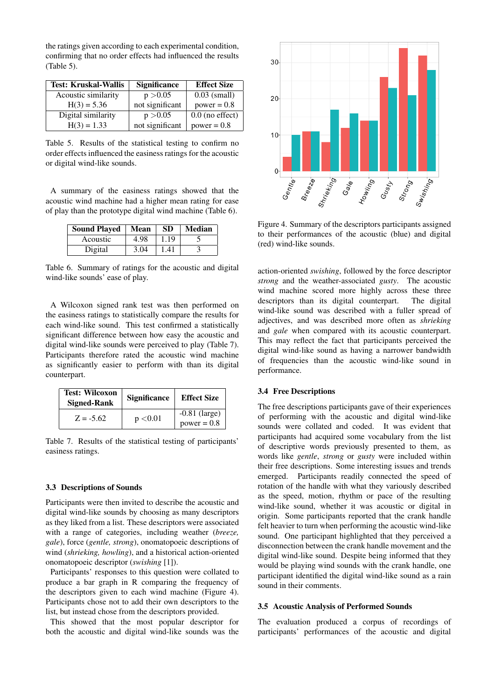the ratings given according to each experimental condition, confirming that no order effects had influenced the results (Table [5\)](#page-4-0).

<span id="page-4-0"></span>

| <b>Test: Kruskal-Wallis</b> | <b>Significance</b> | <b>Effect Size</b> |
|-----------------------------|---------------------|--------------------|
| Acoustic similarity         | p > 0.05            | $0.03$ (small)     |
| $H(3) = 5.36$               | not significant     | $power = 0.8$      |
| Digital similarity          | p > 0.05            | $0.0$ (no effect)  |
| $H(3) = 1.33$               | not significant     | $power = 0.8$      |

Table 5. Results of the statistical testing to confirm no order effects influenced the easiness ratings for the acoustic or digital wind-like sounds.

A summary of the easiness ratings showed that the acoustic wind machine had a higher mean rating for ease of play than the prototype digital wind machine (Table [6\)](#page-4-1).

<span id="page-4-1"></span>

| <b>Sound Played</b> | Mean | <b>SD</b> | <b>Median</b> |
|---------------------|------|-----------|---------------|
| Acoustic            | 4.98 | 1.19      |               |
| Digital             | 3.04 | 1.41      |               |

Table 6. Summary of ratings for the acoustic and digital wind-like sounds' ease of play.

A Wilcoxon signed rank test was then performed on the easiness ratings to statistically compare the results for each wind-like sound. This test confirmed a statistically significant difference between how easy the acoustic and digital wind-like sounds were perceived to play (Table [7\)](#page-4-2). Participants therefore rated the acoustic wind machine as significantly easier to perform with than its digital counterpart.

<span id="page-4-2"></span>

| <b>Test: Wilcoxon</b><br><b>Signed-Rank</b> | <b>Significance</b> | <b>Effect Size</b>               |
|---------------------------------------------|---------------------|----------------------------------|
| $Z = -5.62$                                 | p < 0.01            | $-0.81$ (large)<br>$power = 0.8$ |

Table 7. Results of the statistical testing of participants' easiness ratings.

# 3.3 Descriptions of Sounds

Participants were then invited to describe the acoustic and digital wind-like sounds by choosing as many descriptors as they liked from a list. These descriptors were associated with a range of categories, including weather (*breeze, gale*), force (*gentle, strong*), onomatopoeic descriptions of wind (*shrieking, howling*), and a historical action-oriented onomatopoeic descriptor (*swishing* [\[1\]](#page-6-0)).

Participants' responses to this question were collated to produce a bar graph in R comparing the frequency of the descriptors given to each wind machine (Figure [4\)](#page-4-3). Participants chose not to add their own descriptors to the list, but instead chose from the descriptors provided.

This showed that the most popular descriptor for both the acoustic and digital wind-like sounds was the

<span id="page-4-3"></span>

Figure 4. Summary of the descriptors participants assigned to their performances of the acoustic (blue) and digital (red) wind-like sounds.

action-oriented *swishing*, followed by the force descriptor *strong* and the weather-associated *gusty*. The acoustic wind machine scored more highly across these three descriptors than its digital counterpart. The digital wind-like sound was described with a fuller spread of adjectives, and was described more often as *shrieking* and *gale* when compared with its acoustic counterpart. This may reflect the fact that participants perceived the digital wind-like sound as having a narrower bandwidth of frequencies than the acoustic wind-like sound in performance.

#### 3.4 Free Descriptions

The free descriptions participants gave of their experiences of performing with the acoustic and digital wind-like sounds were collated and coded. It was evident that participants had acquired some vocabulary from the list of descriptive words previously presented to them, as words like *gentle*, *strong* or *gusty* were included within their free descriptions. Some interesting issues and trends emerged. Participants readily connected the speed of rotation of the handle with what they variously described as the speed, motion, rhythm or pace of the resulting wind-like sound, whether it was acoustic or digital in origin. Some participants reported that the crank handle felt heavier to turn when performing the acoustic wind-like sound. One participant highlighted that they perceived a disconnection between the crank handle movement and the digital wind-like sound. Despite being informed that they would be playing wind sounds with the crank handle, one participant identified the digital wind-like sound as a rain sound in their comments.

#### 3.5 Acoustic Analysis of Performed Sounds

The evaluation produced a corpus of recordings of participants' performances of the acoustic and digital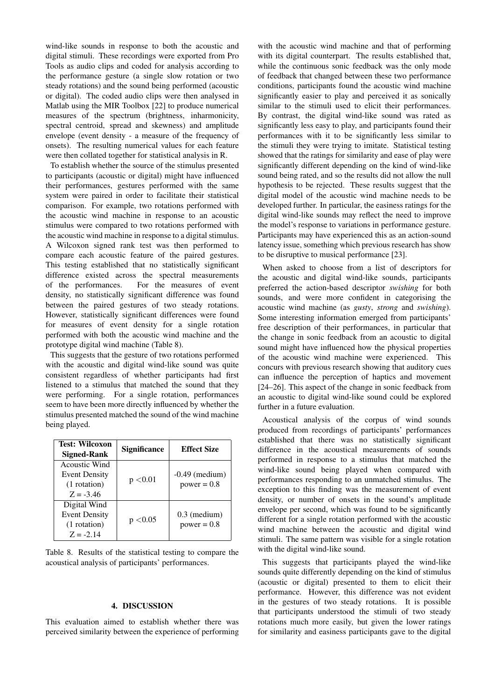wind-like sounds in response to both the acoustic and digital stimuli. These recordings were exported from Pro Tools as audio clips and coded for analysis according to the performance gesture (a single slow rotation or two steady rotations) and the sound being performed (acoustic or digital). The coded audio clips were then analysed in Matlab using the MIR Toolbox [\[22\]](#page-7-7) to produce numerical measures of the spectrum (brightness, inharmonicity, spectral centroid, spread and skewness) and amplitude envelope (event density - a measure of the frequency of onsets). The resulting numerical values for each feature were then collated together for statistical analysis in R.

To establish whether the source of the stimulus presented to participants (acoustic or digital) might have influenced their performances, gestures performed with the same system were paired in order to facilitate their statistical comparison. For example, two rotations performed with the acoustic wind machine in response to an acoustic stimulus were compared to two rotations performed with the acoustic wind machine in response to a digital stimulus. A Wilcoxon signed rank test was then performed to compare each acoustic feature of the paired gestures. This testing established that no statistically significant difference existed across the spectral measurements of the performances. For the measures of event density, no statistically significant difference was found between the paired gestures of two steady rotations. However, statistically significant differences were found for measures of event density for a single rotation performed with both the acoustic wind machine and the prototype digital wind machine (Table [8\)](#page-5-0).

This suggests that the gesture of two rotations performed with the acoustic and digital wind-like sound was quite consistent regardless of whether participants had first listened to a stimulus that matched the sound that they were performing. For a single rotation, performances seem to have been more directly influenced by whether the stimulus presented matched the sound of the wind machine being played.

<span id="page-5-0"></span>

| <b>Test: Wilcoxon</b><br><b>Signed-Rank</b>                                 | <b>Significance</b> | <b>Effect Size</b>                |
|-----------------------------------------------------------------------------|---------------------|-----------------------------------|
| <b>Acoustic Wind</b><br><b>Event Density</b><br>(1 rotation)<br>$Z = -3.46$ | p < 0.01            | $-0.49$ (medium)<br>$power = 0.8$ |
| Digital Wind<br><b>Event Density</b><br>(1 rotation)<br>$Z = -2.14$         | p < 0.05            | $0.3$ (medium)<br>$power = 0.8$   |

Table 8. Results of the statistical testing to compare the acoustical analysis of participants' performances.

#### 4. DISCUSSION

This evaluation aimed to establish whether there was perceived similarity between the experience of performing with the acoustic wind machine and that of performing with its digital counterpart. The results established that, while the continuous sonic feedback was the only mode of feedback that changed between these two performance conditions, participants found the acoustic wind machine significantly easier to play and perceived it as sonically similar to the stimuli used to elicit their performances. By contrast, the digital wind-like sound was rated as significantly less easy to play, and participants found their performances with it to be significantly less similar to the stimuli they were trying to imitate. Statistical testing showed that the ratings for similarity and ease of play were significantly different depending on the kind of wind-like sound being rated, and so the results did not allow the null hypothesis to be rejected. These results suggest that the digital model of the acoustic wind machine needs to be developed further. In particular, the easiness ratings for the digital wind-like sounds may reflect the need to improve the model's response to variations in performance gesture. Participants may have experienced this as an action-sound latency issue, something which previous research has show to be disruptive to musical performance [\[23\]](#page-7-8).

When asked to choose from a list of descriptors for the acoustic and digital wind-like sounds, participants preferred the action-based descriptor *swishing* for both sounds, and were more confident in categorising the acoustic wind machine (as *gusty*, *strong* and *swishing*). Some interesting information emerged from participants' free description of their performances, in particular that the change in sonic feedback from an acoustic to digital sound might have influenced how the physical properties of the acoustic wind machine were experienced. This concurs with previous research showing that auditory cues can influence the perception of haptics and movement [\[24](#page-7-9)[–26\]](#page-7-10). This aspect of the change in sonic feedback from an acoustic to digital wind-like sound could be explored further in a future evaluation.

Acoustical analysis of the corpus of wind sounds produced from recordings of participants' performances established that there was no statistically significant difference in the acoustical measurements of sounds performed in response to a stimulus that matched the wind-like sound being played when compared with performances responding to an unmatched stimulus. The exception to this finding was the measurement of event density, or number of onsets in the sound's amplitude envelope per second, which was found to be significantly different for a single rotation performed with the acoustic wind machine between the acoustic and digital wind stimuli. The same pattern was visible for a single rotation with the digital wind-like sound.

This suggests that participants played the wind-like sounds quite differently depending on the kind of stimulus (acoustic or digital) presented to them to elicit their performance. However, this difference was not evident in the gestures of two steady rotations. It is possible that participants understood the stimuli of two steady rotations much more easily, but given the lower ratings for similarity and easiness participants gave to the digital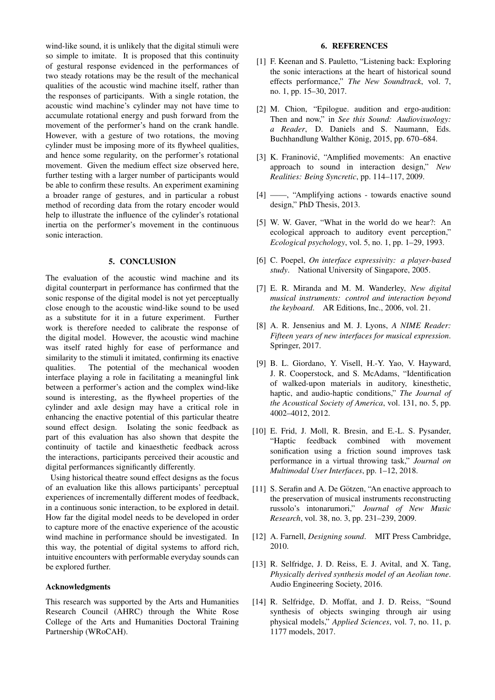wind-like sound, it is unlikely that the digital stimuli were so simple to imitate. It is proposed that this continuity of gestural response evidenced in the performances of two steady rotations may be the result of the mechanical qualities of the acoustic wind machine itself, rather than the responses of participants. With a single rotation, the acoustic wind machine's cylinder may not have time to accumulate rotational energy and push forward from the movement of the performer's hand on the crank handle. However, with a gesture of two rotations, the moving cylinder must be imposing more of its flywheel qualities, and hence some regularity, on the performer's rotational movement. Given the medium effect size observed here, further testing with a larger number of participants would be able to confirm these results. An experiment examining a broader range of gestures, and in particular a robust method of recording data from the rotary encoder would help to illustrate the influence of the cylinder's rotational inertia on the performer's movement in the continuous sonic interaction.

# 5. CONCLUSION

The evaluation of the acoustic wind machine and its digital counterpart in performance has confirmed that the sonic response of the digital model is not yet perceptually close enough to the acoustic wind-like sound to be used as a substitute for it in a future experiment. Further work is therefore needed to calibrate the response of the digital model. However, the acoustic wind machine was itself rated highly for ease of performance and similarity to the stimuli it imitated, confirming its enactive qualities. The potential of the mechanical wooden interface playing a role in facilitating a meaningful link between a performer's action and the complex wind-like sound is interesting, as the flywheel properties of the cylinder and axle design may have a critical role in enhancing the enactive potential of this particular theatre sound effect design. Isolating the sonic feedback as part of this evaluation has also shown that despite the continuity of tactile and kinaesthetic feedback across the interactions, participants perceived their acoustic and digital performances significantly differently.

Using historical theatre sound effect designs as the focus of an evaluation like this allows participants' perceptual experiences of incrementally different modes of feedback, in a continuous sonic interaction, to be explored in detail. How far the digital model needs to be developed in order to capture more of the enactive experience of the acoustic wind machine in performance should be investigated. In this way, the potential of digital systems to afford rich, intuitive encounters with performable everyday sounds can be explored further.

## Acknowledgments

This research was supported by the Arts and Humanities Research Council (AHRC) through the White Rose College of the Arts and Humanities Doctoral Training Partnership (WRoCAH).

## 6. REFERENCES

- <span id="page-6-0"></span>[1] F. Keenan and S. Pauletto, "Listening back: Exploring the sonic interactions at the heart of historical sound effects performance," *The New Soundtrack*, vol. 7, no. 1, pp. 15–30, 2017.
- <span id="page-6-1"></span>[2] M. Chion, "Epilogue. audition and ergo-audition: Then and now," in *See this Sound: Audiovisuology: a Reader*, D. Daniels and S. Naumann, Eds. Buchhandlung Walther König, 2015, pp. 670–684.
- <span id="page-6-2"></span>[3] K. Franinović, "Amplified movements: An enactive approach to sound in interaction design," *New Realities: Being Syncretic*, pp. 114–117, 2009.
- <span id="page-6-3"></span>[4] ——, "Amplifying actions - towards enactive sound design," PhD Thesis, 2013.
- <span id="page-6-4"></span>[5] W. W. Gaver, "What in the world do we hear?: An ecological approach to auditory event perception," *Ecological psychology*, vol. 5, no. 1, pp. 1–29, 1993.
- <span id="page-6-5"></span>[6] C. Poepel, *On interface expressivity: a player-based study*. National University of Singapore, 2005.
- [7] E. R. Miranda and M. M. Wanderley, *New digital musical instruments: control and interaction beyond the keyboard*. AR Editions, Inc., 2006, vol. 21.
- <span id="page-6-6"></span>[8] A. R. Jensenius and M. J. Lyons, *A NIME Reader: Fifteen years of new interfaces for musical expression*. Springer, 2017.
- <span id="page-6-7"></span>[9] B. L. Giordano, Y. Visell, H.-Y. Yao, V. Hayward, J. R. Cooperstock, and S. McAdams, "Identification of walked-upon materials in auditory, kinesthetic, haptic, and audio-haptic conditions," *The Journal of the Acoustical Society of America*, vol. 131, no. 5, pp. 4002–4012, 2012.
- <span id="page-6-8"></span>[10] E. Frid, J. Moll, R. Bresin, and E.-L. S. Pysander, "Haptic feedback combined with movement sonification using a friction sound improves task performance in a virtual throwing task," *Journal on Multimodal User Interfaces*, pp. 1–12, 2018.
- <span id="page-6-9"></span>[11] S. Serafin and A. De Götzen, "An enactive approach to the preservation of musical instruments reconstructing russolo's intonarumori," *Journal of New Music Research*, vol. 38, no. 3, pp. 231–239, 2009.
- <span id="page-6-10"></span>[12] A. Farnell, *Designing sound*. MIT Press Cambridge, 2010.
- <span id="page-6-11"></span>[13] R. Selfridge, J. D. Reiss, E. J. Avital, and X. Tang, *Physically derived synthesis model of an Aeolian tone*. Audio Engineering Society, 2016.
- <span id="page-6-12"></span>[14] R. Selfridge, D. Moffat, and J. D. Reiss, "Sound synthesis of objects swinging through air using physical models," *Applied Sciences*, vol. 7, no. 11, p. 1177 models, 2017.